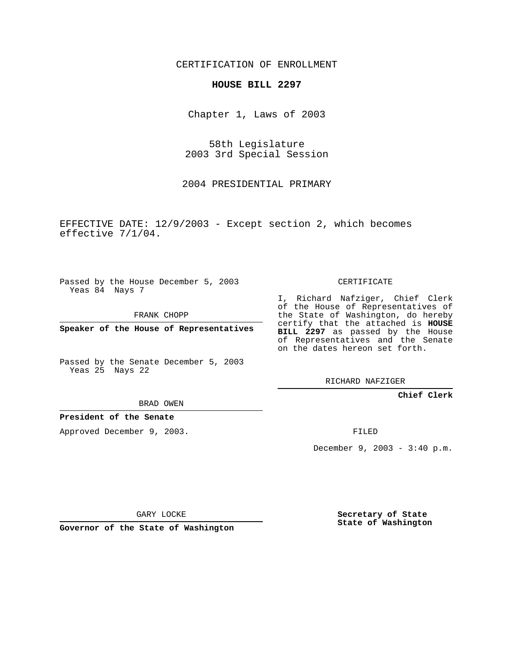CERTIFICATION OF ENROLLMENT

## **HOUSE BILL 2297**

Chapter 1, Laws of 2003

58th Legislature 2003 3rd Special Session

2004 PRESIDENTIAL PRIMARY

EFFECTIVE DATE: 12/9/2003 - Except section 2, which becomes effective 7/1/04.

Passed by the House December 5, 2003 Yeas 84 Nays 7

FRANK CHOPP

**Speaker of the House of Representatives**

Passed by the Senate December 5, 2003 Yeas 25 Nays 22

CERTIFICATE

I, Richard Nafziger, Chief Clerk of the House of Representatives of the State of Washington, do hereby certify that the attached is **HOUSE BILL 2297** as passed by the House of Representatives and the Senate on the dates hereon set forth.

RICHARD NAFZIGER

**Chief Clerk**

BRAD OWEN

## **President of the Senate**

Approved December 9, 2003.

FILED

December 9, 2003 - 3:40 p.m.

GARY LOCKE

**Governor of the State of Washington**

**Secretary of State State of Washington**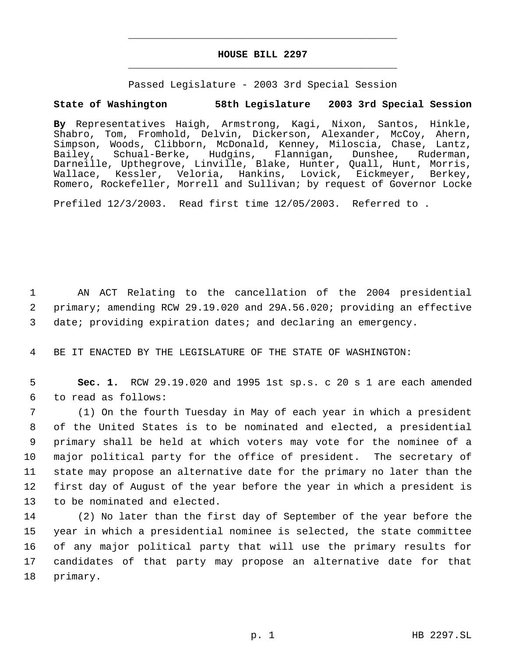## **HOUSE BILL 2297** \_\_\_\_\_\_\_\_\_\_\_\_\_\_\_\_\_\_\_\_\_\_\_\_\_\_\_\_\_\_\_\_\_\_\_\_\_\_\_\_\_\_\_\_\_

\_\_\_\_\_\_\_\_\_\_\_\_\_\_\_\_\_\_\_\_\_\_\_\_\_\_\_\_\_\_\_\_\_\_\_\_\_\_\_\_\_\_\_\_\_

Passed Legislature - 2003 3rd Special Session

## **State of Washington 58th Legislature 2003 3rd Special Session**

**By** Representatives Haigh, Armstrong, Kagi, Nixon, Santos, Hinkle, Shabro, Tom, Fromhold, Delvin, Dickerson, Alexander, McCoy, Ahern, Simpson, Woods, Clibborn, McDonald, Kenney, Miloscia, Chase, Lantz,<br>Bailey, Schual-Berke, Hudgins, Flannigan, Dunshee, Ruderman, Bailey, Schual-Berke, Hudgins, Flannigan, Dunshee, Ruderman, Darneille, Upthegrove, Linville, Blake, Hunter, Quall, Hunt, Morris, Wallace, Kessler, Veloria, Hankins, Lovick, Eickmeyer, Berkey, Romero, Rockefeller, Morrell and Sullivan; by request of Governor Locke

Prefiled 12/3/2003. Read first time 12/05/2003. Referred to .

 1 AN ACT Relating to the cancellation of the 2004 presidential 2 primary; amending RCW 29.19.020 and 29A.56.020; providing an effective 3 date; providing expiration dates; and declaring an emergency.

4 BE IT ENACTED BY THE LEGISLATURE OF THE STATE OF WASHINGTON:

 5 **Sec. 1.** RCW 29.19.020 and 1995 1st sp.s. c 20 s 1 are each amended 6 to read as follows:

 (1) On the fourth Tuesday in May of each year in which a president of the United States is to be nominated and elected, a presidential primary shall be held at which voters may vote for the nominee of a major political party for the office of president. The secretary of state may propose an alternative date for the primary no later than the first day of August of the year before the year in which a president is to be nominated and elected.

 (2) No later than the first day of September of the year before the year in which a presidential nominee is selected, the state committee of any major political party that will use the primary results for candidates of that party may propose an alternative date for that 18 primary.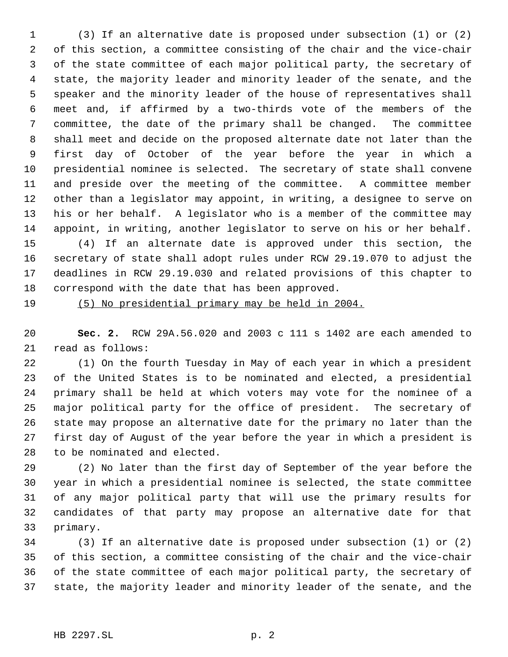(3) If an alternative date is proposed under subsection (1) or (2) of this section, a committee consisting of the chair and the vice-chair of the state committee of each major political party, the secretary of state, the majority leader and minority leader of the senate, and the speaker and the minority leader of the house of representatives shall meet and, if affirmed by a two-thirds vote of the members of the committee, the date of the primary shall be changed. The committee shall meet and decide on the proposed alternate date not later than the first day of October of the year before the year in which a presidential nominee is selected. The secretary of state shall convene and preside over the meeting of the committee. A committee member other than a legislator may appoint, in writing, a designee to serve on his or her behalf. A legislator who is a member of the committee may appoint, in writing, another legislator to serve on his or her behalf. (4) If an alternate date is approved under this section, the secretary of state shall adopt rules under RCW 29.19.070 to adjust the deadlines in RCW 29.19.030 and related provisions of this chapter to correspond with the date that has been approved.

(5) No presidential primary may be held in 2004.

 **Sec. 2.** RCW 29A.56.020 and 2003 c 111 s 1402 are each amended to read as follows:

 (1) On the fourth Tuesday in May of each year in which a president of the United States is to be nominated and elected, a presidential primary shall be held at which voters may vote for the nominee of a major political party for the office of president. The secretary of state may propose an alternative date for the primary no later than the first day of August of the year before the year in which a president is to be nominated and elected.

 (2) No later than the first day of September of the year before the year in which a presidential nominee is selected, the state committee of any major political party that will use the primary results for candidates of that party may propose an alternative date for that primary.

 (3) If an alternative date is proposed under subsection (1) or (2) of this section, a committee consisting of the chair and the vice-chair of the state committee of each major political party, the secretary of state, the majority leader and minority leader of the senate, and the